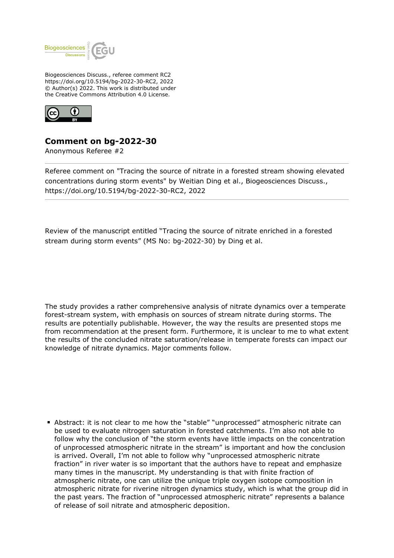

Biogeosciences Discuss., referee comment RC2 https://doi.org/10.5194/bg-2022-30-RC2, 2022 © Author(s) 2022. This work is distributed under the Creative Commons Attribution 4.0 License.



## **Comment on bg-2022-30**

Anonymous Referee #2

Referee comment on "Tracing the source of nitrate in a forested stream showing elevated concentrations during storm events" by Weitian Ding et al., Biogeosciences Discuss., https://doi.org/10.5194/bg-2022-30-RC2, 2022

Review of the manuscript entitled "Tracing the source of nitrate enriched in a forested stream during storm events" (MS No: bg-2022-30) by Ding et al.

The study provides a rather comprehensive analysis of nitrate dynamics over a temperate forest-stream system, with emphasis on sources of stream nitrate during storms. The results are potentially publishable. However, the way the results are presented stops me from recommendation at the present form. Furthermore, it is unclear to me to what extent the results of the concluded nitrate saturation/release in temperate forests can impact our knowledge of nitrate dynamics. Major comments follow.

Abstract: it is not clear to me how the "stable" "unprocessed" atmospheric nitrate can be used to evaluate nitrogen saturation in forested catchments. I'm also not able to follow why the conclusion of "the storm events have little impacts on the concentration of unprocessed atmospheric nitrate in the stream" is important and how the conclusion is arrived. Overall, I'm not able to follow why "unprocessed atmospheric nitrate fraction" in river water is so important that the authors have to repeat and emphasize many times in the manuscript. My understanding is that with finite fraction of atmospheric nitrate, one can utilize the unique triple oxygen isotope composition in atmospheric nitrate for riverine nitrogen dynamics study, which is what the group did in the past years. The fraction of "unprocessed atmospheric nitrate" represents a balance of release of soil nitrate and atmospheric deposition.